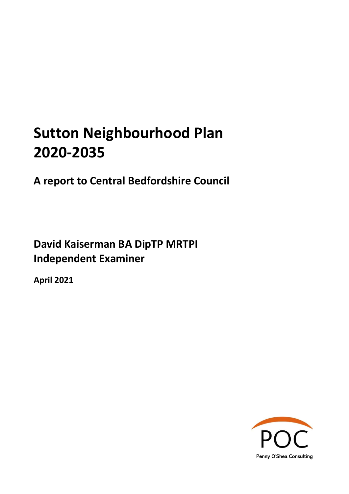# Sutton Neighbourhood Plan 2020-2035

A report to Central Bedfordshire Council

David Kaiserman BA DipTP MRTPI Independent Examiner

April 2021

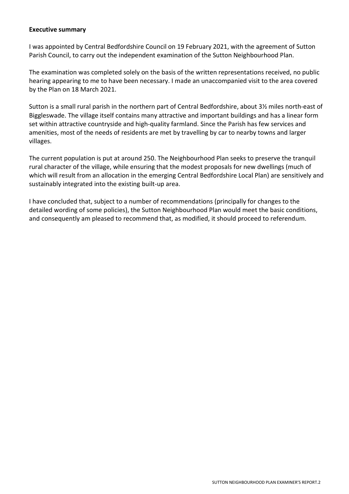## Executive summary

I was appointed by Central Bedfordshire Council on 19 February 2021, with the agreement of Sutton Parish Council, to carry out the independent examination of the Sutton Neighbourhood Plan.

The examination was completed solely on the basis of the written representations received, no public hearing appearing to me to have been necessary. I made an unaccompanied visit to the area covered by the Plan on 18 March 2021.

Sutton is a small rural parish in the northern part of Central Bedfordshire, about 3½ miles north-east of Biggleswade. The village itself contains many attractive and important buildings and has a linear form set within attractive countryside and high-quality farmland. Since the Parish has few services and amenities, most of the needs of residents are met by travelling by car to nearby towns and larger villages.

The current population is put at around 250. The Neighbourhood Plan seeks to preserve the tranquil rural character of the village, while ensuring that the modest proposals for new dwellings (much of which will result from an allocation in the emerging Central Bedfordshire Local Plan) are sensitively and sustainably integrated into the existing built-up area.

I have concluded that, subject to a number of recommendations (principally for changes to the detailed wording of some policies), the Sutton Neighbourhood Plan would meet the basic conditions, and consequently am pleased to recommend that, as modified, it should proceed to referendum.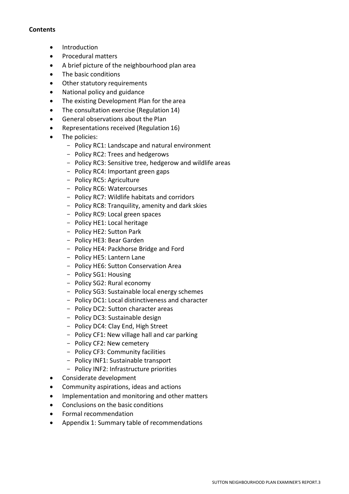## **Contents**

- Introduction
- Procedural matters
- A brief picture of the neighbourhood plan area
- The basic conditions
- Other statutory requirements
- National policy and guidance
- The existing Development Plan for the area
- The consultation exercise (Regulation 14)
- General observations about the Plan
- Representations received (Regulation 16)
- The policies:
	- Policy RC1: Landscape and natural environment
	- Policy RC2: Trees and hedgerows
	- Policy RC3: Sensitive tree, hedgerow and wildlife areas
	- Policy RC4: Important green gaps
	- Policy RC5: Agriculture
	- Policy RC6: Watercourses
	- Policy RC7: Wildlife habitats and corridors
	- Policy RC8: Tranquility, amenity and dark skies
	- Policy RC9: Local green spaces
	- Policy HE1: Local heritage
	- Policy HE2: Sutton Park
	- Policy HE3: Bear Garden
	- Policy HE4: Packhorse Bridge and Ford
	- Policy HE5: Lantern Lane
	- Policy HE6: Sutton Conservation Area
	- Policy SG1: Housing
	- Policy SG2: Rural economy
	- Policy SG3: Sustainable local energy schemes
	- Policy DC1: Local distinctiveness and character
	- Policy DC2: Sutton character areas
	- Policy DC3: Sustainable design
	- Policy DC4: Clay End, High Street
	- Policy CF1: New village hall and car parking
	- Policy CF2: New cemetery
	- Policy CF3: Community facilities
	- Policy INF1: Sustainable transport
	- Policy INF2: Infrastructure priorities
- Considerate development
- Community aspirations, ideas and actions
- Implementation and monitoring and other matters
- Conclusions on the basic conditions
- Formal recommendation
- Appendix 1: Summary table of recommendations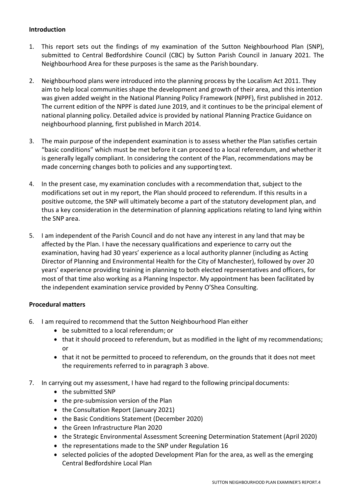## Introduction

- 1. This report sets out the findings of my examination of the Sutton Neighbourhood Plan (SNP), submitted to Central Bedfordshire Council (CBC) by Sutton Parish Council in January 2021. The Neighbourhood Area for these purposes is the same as the Parish boundary.
- 2. Neighbourhood plans were introduced into the planning process by the Localism Act 2011. They aim to help local communities shape the development and growth of their area, and this intention was given added weight in the National Planning Policy Framework (NPPF), first published in 2012. The current edition of the NPPF is dated June 2019, and it continues to be the principal element of national planning policy. Detailed advice is provided by national Planning Practice Guidance on neighbourhood planning, first published in March 2014.
- 3. The main purpose of the independent examination is to assess whether the Plan satisfies certain "basic conditions" which must be met before it can proceed to a local referendum, and whether it is generally legally compliant. In considering the content of the Plan, recommendations may be made concerning changes both to policies and any supporting text.
- 4. In the present case, my examination concludes with a recommendation that, subject to the modifications set out in my report, the Plan should proceed to referendum. If this results in a positive outcome, the SNP will ultimately become a part of the statutory development plan, and thus a key consideration in the determination of planning applications relating to land lying within the SNP area.
- 5. I am independent of the Parish Council and do not have any interest in any land that may be affected by the Plan. I have the necessary qualifications and experience to carry out the examination, having had 30 years' experience as a local authority planner (including as Acting Director of Planning and Environmental Health for the City of Manchester), followed by over 20 years' experience providing training in planning to both elected representatives and officers, for most of that time also working as a Planning Inspector. My appointment has been facilitated by the independent examination service provided by Penny O'Shea Consulting.

## Procedural matters

- 6. I am required to recommend that the Sutton Neighbourhood Plan either
	- be submitted to a local referendum; or
	- that it should proceed to referendum, but as modified in the light of my recommendations; or
	- that it not be permitted to proceed to referendum, on the grounds that it does not meet the requirements referred to in paragraph 3 above.
- 7. In carrying out my assessment, I have had regard to the following principal documents:
	- the submitted SNP
	- the pre-submission version of the Plan
	- the Consultation Report (January 2021)
	- the Basic Conditions Statement (December 2020)
	- the Green Infrastructure Plan 2020
	- the Strategic Environmental Assessment Screening Determination Statement (April 2020)
	- the representations made to the SNP under Regulation 16
	- selected policies of the adopted Development Plan for the area, as well as the emerging Central Bedfordshire Local Plan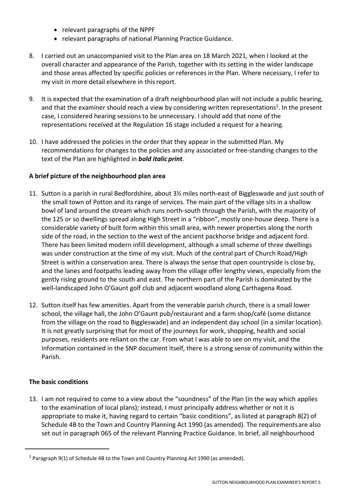- relevant paragraphs of the NPPF
- relevant paragraphs of national Planning Practice Guidance.
- 8. I carried out an unaccompanied visit to the Plan area on 18 March 2021, when I looked at the overall character and appearance of the Parish, together with its setting in the wider landscape and those areas affected by specific policies or references in the Plan. Where necessary, I refer to my visit in more detail elsewhere in this report.
- 9. It is expected that the examination of a draft neighbourhood plan will not include a public hearing, and that the examiner should reach a view by considering written representations<sup>1</sup>. In the present case, I considered hearing sessions to be unnecessary. I should add that none of the representations received at the Regulation 16 stage included a request for a hearing.
- 10. I have addressed the policies in the order that they appear in the submitted Plan. My recommendations for changes to the policies and any associated or free-standing changes to the text of the Plan are highlighted in **bold italic print**.

## A brief picture of the neighbourhood plan area

- 11. Sutton is a parish in rural Bedfordshire, about 3½ miles north-east of Biggleswade and just south of the small town of Potton and its range of services. The main part of the village sits in a shallow bowl of land around the stream which runs north-south through the Parish, with the majority of the 125 or so dwellings spread along High Street in a "ribbon", mostly one-house deep. There is a considerable variety of built form within this small area, with newer properties along the north side of the road, in the section to the west of the ancient packhorse bridge and adjacent ford. There has been limited modern infill development, although a small scheme of three dwellings was under construction at the time of my visit. Much of the central part of Church Road/High Street is within a conservation area. There is always the sense that open countryside is close by, and the lanes and footpaths leading away from the village offer lengthy views, especially from the gently rising ground to the south and east. The northern part of the Parish is dominated by the well-landscaped John O'Gaunt golf club and adjacent woodland along Carthagena Road.
- 12. Sutton itself has few amenities. Apart from the venerable parish church, there is a small lower school, the village hall, the John O'Gaunt pub/restaurant and a farm shop/café (some distance from the village on the road to Biggleswade) and an independent day school (in a similar location). It is not greatly surprising that for most of the journeys for work, shopping, health and social purposes, residents are reliant on the car. From what I was able to see on my visit, and the information contained in the SNP document itself, there is a strong sense of community within the Parish.

## The basic conditions

13. I am not required to come to a view about the "soundness" of the Plan (in the way which applies to the examination of local plans); instead, I must principally address whether or not it is appropriate to make it, having regard to certain "basic conditions", as listed at paragraph 8(2) of Schedule 4B to the Town and Country Planning Act 1990 (as amended). The requirements are also set out in paragraph 065 of the relevant Planning Practice Guidance. In brief, all neighbourhood

 $1$  Paragraph 9(1) of Schedule 4B to the Town and Country Planning Act 1990 (as amended).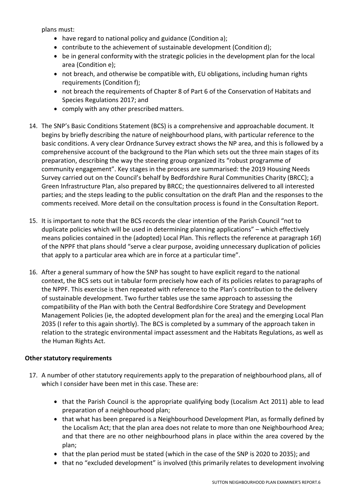plans must:

- have regard to national policy and guidance (Condition a);
- contribute to the achievement of sustainable development (Condition d);
- be in general conformity with the strategic policies in the development plan for the local area (Condition e);
- not breach, and otherwise be compatible with, EU obligations, including human rights requirements (Condition f);
- not breach the requirements of Chapter 8 of Part 6 of the Conservation of Habitats and Species Regulations 2017; and
- comply with any other prescribed matters.
- 14. The SNP's Basic Conditions Statement (BCS) is a comprehensive and approachable document. It begins by briefly describing the nature of neighbourhood plans, with particular reference to the basic conditions. A very clear Ordnance Survey extract shows the NP area, and this is followed by a comprehensive account of the background to the Plan which sets out the three main stages of its preparation, describing the way the steering group organized its "robust programme of community engagement". Key stages in the process are summarised: the 2019 Housing Needs Survey carried out on the Council's behalf by Bedfordshire Rural Communities Charity (BRCC); a Green Infrastructure Plan, also prepared by BRCC; the questionnaires delivered to all interested parties; and the steps leading to the public consultation on the draft Plan and the responses to the comments received. More detail on the consultation process is found in the Consultation Report.
- 15. It is important to note that the BCS records the clear intention of the Parish Council "not to duplicate policies which will be used in determining planning applications" – which effectively means policies contained in the (adopted) Local Plan. This reflects the reference at paragraph 16f) of the NPPF that plans should "serve a clear purpose, avoiding unnecessary duplication of policies that apply to a particular area which are in force at a particular time".
- 16. After a general summary of how the SNP has sought to have explicit regard to the national context, the BCS sets out in tabular form precisely how each of its policies relates to paragraphs of the NPPF. This exercise is then repeated with reference to the Plan's contribution to the delivery of sustainable development. Two further tables use the same approach to assessing the compatibility of the Plan with both the Central Bedfordshire Core Strategy and Development Management Policies (ie, the adopted development plan for the area) and the emerging Local Plan 2035 (I refer to this again shortly). The BCS is completed by a summary of the approach taken in relation to the strategic environmental impact assessment and the Habitats Regulations, as well as the Human Rights Act.

## Other statutory requirements

- 17. A number of other statutory requirements apply to the preparation of neighbourhood plans, all of which I consider have been met in this case. These are:
	- that the Parish Council is the appropriate qualifying body (Localism Act 2011) able to lead preparation of a neighbourhood plan;
	- that what has been prepared is a Neighbourhood Development Plan, as formally defined by the Localism Act; that the plan area does not relate to more than one Neighbourhood Area; and that there are no other neighbourhood plans in place within the area covered by the plan;
	- that the plan period must be stated (which in the case of the SNP is 2020 to 2035); and
	- that no "excluded development" is involved (this primarily relates to development involving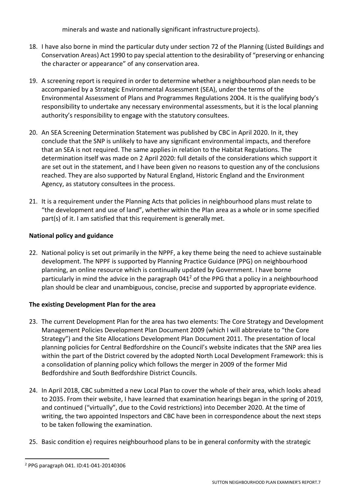minerals and waste and nationally significant infrastructure projects).

- 18. I have also borne in mind the particular duty under section 72 of the Planning (Listed Buildings and Conservation Areas) Act 1990 to pay special attention to the desirability of "preserving or enhancing the character or appearance" of any conservation area.
- 19. A screening report is required in order to determine whether a neighbourhood plan needs to be accompanied by a Strategic Environmental Assessment (SEA), under the terms of the Environmental Assessment of Plans and Programmes Regulations 2004. It is the qualifying body's responsibility to undertake any necessary environmental assessments, but it is the local planning authority's responsibility to engage with the statutory consultees.
- 20. An SEA Screening Determination Statement was published by CBC in April 2020. In it, they conclude that the SNP is unlikely to have any significant environmental impacts, and therefore that an SEA is not required. The same applies in relation to the Habitat Regulations. The determination itself was made on 2 April 2020: full details of the considerations which support it are set out in the statement, and I have been given no reasons to question any of the conclusions reached. They are also supported by Natural England, Historic England and the Environment Agency, as statutory consultees in the process.
- 21. It is a requirement under the Planning Acts that policies in neighbourhood plans must relate to "the development and use of land", whether within the Plan area as a whole or in some specified part(s) of it. I am satisfied that this requirement is generally met.

# National policy and guidance

22. National policy is set out primarily in the NPPF, a key theme being the need to achieve sustainable development. The NPPF is supported by Planning Practice Guidance (PPG) on neighbourhood planning, an online resource which is continually updated by Government. I have borne particularly in mind the advice in the paragraph 041<sup>2</sup> of the PPG that a policy in a neighbourhood plan should be clear and unambiguous, concise, precise and supported by appropriate evidence.

## The existing Development Plan for the area

- 23. The current Development Plan for the area has two elements: The Core Strategy and Development Management Policies Development Plan Document 2009 (which I will abbreviate to "the Core Strategy") and the Site Allocations Development Plan Document 2011. The presentation of local planning policies for Central Bedfordshire on the Council's website indicates that the SNP area lies within the part of the District covered by the adopted North Local Development Framework: this is a consolidation of planning policy which follows the merger in 2009 of the former Mid Bedfordshire and South Bedfordshire District Councils.
- 24. In April 2018, CBC submitted a new Local Plan to cover the whole of their area, which looks ahead to 2035. From their website, I have learned that examination hearings began in the spring of 2019, and continued ("virtually", due to the Covid restrictions) into December 2020. At the time of writing, the two appointed Inspectors and CBC have been in correspondence about the next steps to be taken following the examination.
- 25. Basic condition e) requires neighbourhood plans to be in general conformity with the strategic

<sup>2</sup> PPG paragraph 041. ID:41-041-20140306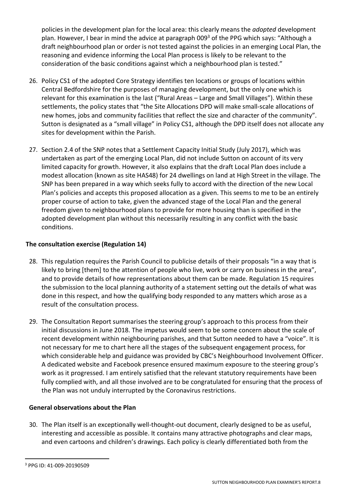policies in the development plan for the local area: this clearly means the *adopted* development plan. However, I bear in mind the advice at paragraph 009<sup>3</sup> of the PPG which says: "Although a draft neighbourhood plan or order is not tested against the policies in an emerging Local Plan, the reasoning and evidence informing the Local Plan process is likely to be relevant to the consideration of the basic conditions against which a neighbourhood plan is tested."

- 26. Policy CS1 of the adopted Core Strategy identifies ten locations or groups of locations within Central Bedfordshire for the purposes of managing development, but the only one which is relevant for this examination is the last ("Rural Areas – Large and Small Villages"). Within these settlements, the policy states that "the Site Allocations DPD will make small-scale allocations of new homes, jobs and community facilities that reflect the size and character of the community". Sutton is designated as a "small village" in Policy CS1, although the DPD itself does not allocate any sites for development within the Parish.
- 27. Section 2.4 of the SNP notes that a Settlement Capacity Initial Study (July 2017), which was undertaken as part of the emerging Local Plan, did not include Sutton on account of its very limited capacity for growth. However, it also explains that the draft Local Plan does include a modest allocation (known as site HAS48) for 24 dwellings on land at High Street in the village. The SNP has been prepared in a way which seeks fully to accord with the direction of the new Local Plan's policies and accepts this proposed allocation as a given. This seems to me to be an entirely proper course of action to take, given the advanced stage of the Local Plan and the general freedom given to neighbourhood plans to provide for more housing than is specified in the adopted development plan without this necessarily resulting in any conflict with the basic conditions.

## The consultation exercise (Regulation 14)

- 28. This regulation requires the Parish Council to publicise details of their proposals "in a way that is likely to bring [them] to the attention of people who live, work or carry on business in the area", and to provide details of how representations about them can be made. Regulation 15 requires the submission to the local planning authority of a statement setting out the details of what was done in this respect, and how the qualifying body responded to any matters which arose as a result of the consultation process.
- 29. The Consultation Report summarises the steering group's approach to this process from their initial discussions in June 2018. The impetus would seem to be some concern about the scale of recent development within neighbouring parishes, and that Sutton needed to have a "voice". It is not necessary for me to chart here all the stages of the subsequent engagement process, for which considerable help and guidance was provided by CBC's Neighbourhood Involvement Officer. A dedicated website and Facebook presence ensured maximum exposure to the steering group's work as it progressed. I am entirely satisfied that the relevant statutory requirements have been fully complied with, and all those involved are to be congratulated for ensuring that the process of the Plan was not unduly interrupted by the Coronavirus restrictions.

## General observations about the Plan

30. The Plan itself is an exceptionally well-thought-out document, clearly designed to be as useful, interesting and accessible as possible. It contains many attractive photographs and clear maps, and even cartoons and children's drawings. Each policy is clearly differentiated both from the

<sup>3</sup> PPG ID: 41-009-20190509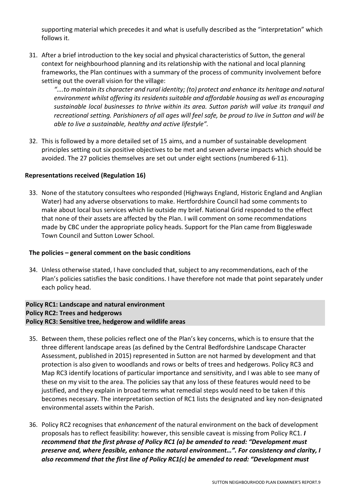supporting material which precedes it and what is usefully described as the "interpretation" which follows it.

31. After a brief introduction to the key social and physical characteristics of Sutton, the general context for neighbourhood planning and its relationship with the national and local planning frameworks, the Plan continues with a summary of the process of community involvement before setting out the overall vision for the village:

"….to maintain its character and rural identity; (to) protect and enhance its heritage and natural environment whilst offering its residents suitable and affordable housing as well as encouraging sustainable local businesses to thrive within its area. Sutton parish will value its tranquil and recreational setting. Parishioners of all ages will feel safe, be proud to live in Sutton and will be able to live a sustainable, healthy and active lifestyle".

32. This is followed by a more detailed set of 15 aims, and a number of sustainable development principles setting out six positive objectives to be met and seven adverse impacts which should be avoided. The 27 policies themselves are set out under eight sections (numbered 6-11).

## Representations received (Regulation 16)

33. None of the statutory consultees who responded (Highways England, Historic England and Anglian Water) had any adverse observations to make. Hertfordshire Council had some comments to make about local bus services which lie outside my brief. National Grid responded to the effect that none of their assets are affected by the Plan. I will comment on some recommendations made by CBC under the appropriate policy heads. Support for the Plan came from Biggleswade Town Council and Sutton Lower School.

## The policies – general comment on the basic conditions

34. Unless otherwise stated, I have concluded that, subject to any recommendations, each of the Plan's policies satisfies the basic conditions. I have therefore not made that point separately under each policy head.

## Policy RC1: Landscape and natural environment Policy RC2: Trees and hedgerows Policy RC3: Sensitive tree, hedgerow and wildlife areas

- 35. Between them, these policies reflect one of the Plan's key concerns, which is to ensure that the three different landscape areas (as defined by the Central Bedfordshire Landscape Character Assessment, published in 2015) represented in Sutton are not harmed by development and that protection is also given to woodlands and rows or belts of trees and hedgerows. Policy RC3 and Map RC3 identify locations of particular importance and sensitivity, and I was able to see many of these on my visit to the area. The policies say that any loss of these features would need to be justified, and they explain in broad terms what remedial steps would need to be taken if this becomes necessary. The interpretation section of RC1 lists the designated and key non-designated environmental assets within the Parish.
- 36. Policy RC2 recognises that *enhancement* of the natural environment on the back of development proposals has to reflect feasibility: however, this sensible caveat is missing from Policy RC1. I recommend that the first phrase of Policy RC1 (a) be amended to read: "Development must preserve and, where feasible, enhance the natural environment…". For consistency and clarity, I also recommend that the first line of Policy RC1(c) be amended to read: "Development must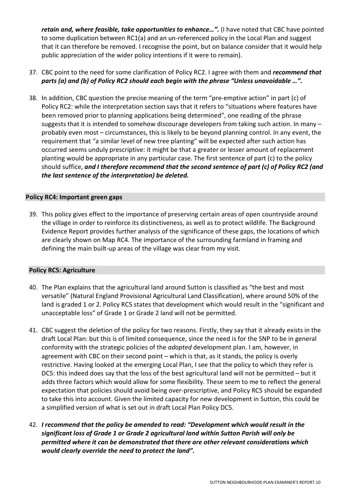retain and, where feasible, take opportunities to enhance...". (I have noted that CBC have pointed to some duplication between RC1(a) and an un-referenced policy in the Local Plan and suggest that it can therefore be removed. I recognise the point, but on balance consider that it would help public appreciation of the wider policy intentions if it were to remain).

- 37. CBC point to the need for some clarification of Policy RC2. I agree with them and *recommend that* parts (a) and (b) of Policy RC2 should each begin with the phrase "Unless unavoidable ...".
- 38. In addition, CBC question the precise meaning of the term "pre-emptive action" in part (c) of Policy RC2: while the interpretation section says that it refers to "situations where features have been removed prior to planning applications being determined", one reading of the phrase suggests that it is intended to somehow discourage developers from taking such action. In many – probably even most – circumstances, this is likely to be beyond planning control. In any event, the requirement that "a similar level of new tree planting" will be expected after such action has occurred seems unduly prescriptive: it might be that a greater or lesser amount of replacement planting would be appropriate in any particular case. The first sentence of part (c) to the policy should suffice, and I therefore recommend that the second sentence of part (c) of Policy RC2 (and the last sentence of the interpretation) be deleted.

## Policy RC4: Important green gaps

39. This policy gives effect to the importance of preserving certain areas of open countryside around the village in order to reinforce its distinctiveness, as well as to protect wildlife. The Background Evidence Report provides further analysis of the significance of these gaps, the locations of which are clearly shown on Map RC4. The importance of the surrounding farmland in framing and defining the main built-up areas of the village was clear from my visit.

#### Policy RC5: Agriculture

- 40. The Plan explains that the agricultural land around Sutton is classified as "the best and most versatile" (Natural England Provisional Agricultural Land Classification), where around 50% of the land is graded 1 or 2. Policy RC5 states that development which would result in the "significant and unacceptable loss" of Grade 1 or Grade 2 land will not be permitted.
- 41. CBC suggest the deletion of the policy for two reasons. Firstly, they say that it already exists in the draft Local Plan: but this is of limited consequence, since the need is for the SNP to be in general conformity with the strategic policies of the *adopted* development plan. I am, however, in agreement with CBC on their second point – which is that, as it stands, the policy is overly restrictive. Having looked at the emerging Local Plan, I see that the policy to which they refer is DC5: this indeed does say that the loss of the best agricultural land will not be permitted – but it adds three factors which would allow for some flexibility. These seem to me to reflect the general expectation that policies should avoid being over-prescriptive, and Policy RC5 should be expanded to take this into account. Given the limited capacity for new development in Sutton, this could be a simplified version of what is set out in draft Local Plan Policy DC5.
- 42. I recommend that the policy be amended to read: "Development which would result in the significant loss of Grade 1 or Grade 2 agricultural land within Sutton Parish will only be permitted where it can be demonstrated that there are other relevant considerations which would clearly override the need to protect the land".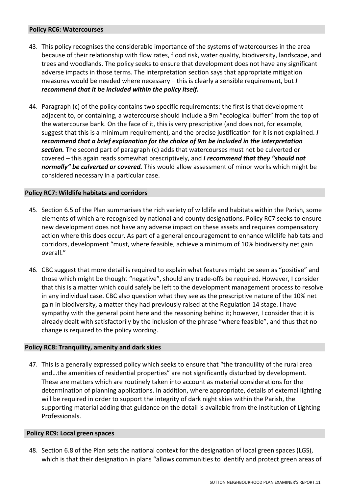#### Policy RC6: Watercourses

- 43. This policy recognises the considerable importance of the systems of watercourses in the area because of their relationship with flow rates, flood risk, water quality, biodiversity, landscape, and trees and woodlands. The policy seeks to ensure that development does not have any significant adverse impacts in those terms. The interpretation section says that appropriate mitigation measures would be needed where necessary – this is clearly a sensible requirement, but I recommend that it be included within the policy itself.
- 44. Paragraph (c) of the policy contains two specific requirements: the first is that development adjacent to, or containing, a watercourse should include a 9m "ecological buffer" from the top of the watercourse bank. On the face of it, this is very prescriptive (and does not, for example, suggest that this is a minimum requirement), and the precise justification for it is not explained. I recommend that a brief explanation for the choice of 9m be included in the interpretation section. The second part of paragraph (c) adds that watercourses must not be culverted or covered – this again reads somewhat prescriptively, and I recommend that they "should not normally" be culverted or covered. This would allow assessment of minor works which might be considered necessary in a particular case.

## Policy RC7: Wildlife habitats and corridors

- 45. Section 6.5 of the Plan summarises the rich variety of wildlife and habitats within the Parish, some elements of which are recognised by national and county designations. Policy RC7 seeks to ensure new development does not have any adverse impact on these assets and requires compensatory action where this does occur. As part of a general encouragement to enhance wildlife habitats and corridors, development "must, where feasible, achieve a minimum of 10% biodiversity net gain overall."
- 46. CBC suggest that more detail is required to explain what features might be seen as "positive" and those which might be thought "negative", should any trade-offs be required. However, I consider that this is a matter which could safely be left to the development management process to resolve in any individual case. CBC also question what they see as the prescriptive nature of the 10% net gain in biodiversity, a matter they had previously raised at the Regulation 14 stage. I have sympathy with the general point here and the reasoning behind it; however, I consider that it is already dealt with satisfactorily by the inclusion of the phrase "where feasible", and thus that no change is required to the policy wording.

## Policy RC8: Tranquility, amenity and dark skies

47. This is a generally expressed policy which seeks to ensure that "the tranquility of the rural area and…the amenities of residential properties" are not significantly disturbed by development. These are matters which are routinely taken into account as material considerations for the determination of planning applications. In addition, where appropriate, details of external lighting will be required in order to support the integrity of dark night skies within the Parish, the supporting material adding that guidance on the detail is available from the Institution of Lighting Professionals.

#### Policy RC9: Local green spaces

48. Section 6.8 of the Plan sets the national context for the designation of local green spaces (LGS), which is that their designation in plans "allows communities to identify and protect green areas of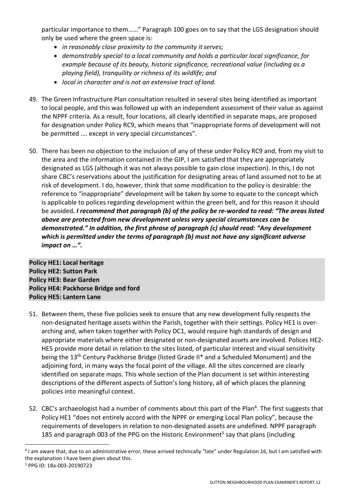particular importance to them……" Paragraph 100 goes on to say that the LGS designation should only be used where the green space is:

- in reasonably close proximity to the community it serves;
- demonstrably special to a local community and holds a particular local significance, for example because of its beauty, historic significance, recreational value (including as a playing field), tranquility or richness of its wildlife; and
- local in character and is not an extensive tract of land.
- 49. The Green Infrastructure Plan consultation resulted in several sites being identified as important to local people, and this was followed up with an independent assessment of their value as against the NPPF criteria. As a result, four locations, all clearly identified in separate maps, are proposed for designation under Policy RC9, which means that "inappropriate forms of development will not be permitted …. except in very special circumstances".
- 50. There has been no objection to the inclusion of any of these under Policy RC9 and, from my visit to the area and the information contained in the GIP, I am satisfied that they are appropriately designated as LGS (although it was not always possible to gain close inspection). In this, I do not share CBC's reservations about the justification for designating areas of land assumed not to be at risk of development. I do, however, think that some modification to the policy is desirable: the reference to "inappropriate" development will be taken by some to equate to the concept which is applicable to polices regarding development within the green belt, and for this reason it should be avoided. I recommend that paragraph (b) of the policy be re-worded to read: "The areas listed above are protected from new development unless very special circumstances can be demonstrated." In addition, the first phrase of paragraph (c) should read: "Any development which is permitted under the terms of paragraph (b) must not have any significant adverse impact on …".

Policy HE1: Local heritage Policy HE2: Sutton Park Policy HE3: Bear Garden Policy HE4: Packhorse Bridge and ford Policy HE5: Lantern Lane

- 51. Between them, these five policies seek to ensure that any new development fully respects the non-designated heritage assets within the Parish, together with their settings. Policy HE1 is overarching and, when taken together with Policy DC1, would require high standards of design and appropriate materials where either designated or non-designated assets are involved. Polices HE2- HE5 provide more detail in relation to the sites listed, of particular interest and visual sensitivity being the 13th Century Packhorse Bridge (listed Grade II\* and a Scheduled Monument) and the adjoining ford, in many ways the focal point of the village. All the sites concerned are clearly identified on separate maps. This whole section of the Plan document is set within interesting descriptions of the different aspects of Sutton's long history, all of which places the planning policies into meaningful context.
- 52. CBC's archaeologist had a number of comments about this part of the Plan<sup>4</sup>. The first suggests that Policy HE1 "does not entirely accord with the NPPF or emerging Local Plan policy", because the requirements of developers in relation to non-designated assets are undefined. NPPF paragraph 185 and paragraph 003 of the PPG on the Historic Environment<sup>5</sup> say that plans (including

5 PPG ID: 18a-003-20190723

<sup>&</sup>lt;sup>4</sup> I am aware that, due to an administrative error, these arrived technically "late" under Regulation 16, but I am satisfied with the explanation I have been given about this.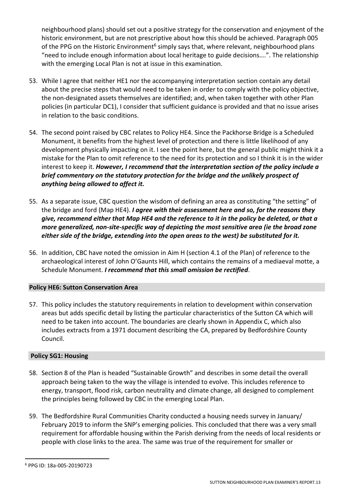neighbourhood plans) should set out a positive strategy for the conservation and enjoyment of the historic environment, but are not prescriptive about how this should be achieved. Paragraph 005 of the PPG on the Historic Environment<sup>6</sup> simply says that, where relevant, neighbourhood plans "need to include enough information about local heritage to guide decisions….". The relationship with the emerging Local Plan is not at issue in this examination.

- 53. While I agree that neither HE1 nor the accompanying interpretation section contain any detail about the precise steps that would need to be taken in order to comply with the policy objective, the non-designated assets themselves are identified; and, when taken together with other Plan policies (in particular DC1), I consider that sufficient guidance is provided and that no issue arises in relation to the basic conditions.
- 54. The second point raised by CBC relates to Policy HE4. Since the Packhorse Bridge is a Scheduled Monument, it benefits from the highest level of protection and there is little likelihood of any development physically impacting on it. I see the point here, but the general public might think it a mistake for the Plan to omit reference to the need for its protection and so I think it is in the wider interest to keep it. However, I recommend that the interpretation section of the policy include a brief commentary on the statutory protection for the bridge and the unlikely prospect of anything being allowed to affect it.
- 55. As a separate issue, CBC question the wisdom of defining an area as constituting "the setting" of the bridge and ford (Map HE4). I agree with their assessment here and so, for the reasons they give, recommend either that Map HE4 and the reference to it in the policy be deleted, or that a more generalized, non-site-specific way of depicting the most sensitive area (ie the broad zone either side of the bridge, extending into the open areas to the west) be substituted for it.
- 56. In addition, CBC have noted the omission in Aim H (section 4.1 of the Plan) of reference to the archaeological interest of John O'Gaunts Hill, which contains the remains of a mediaeval motte, a Schedule Monument. I recommend that this small omission be rectified.

## Policy HE6: Sutton Conservation Area

57. This policy includes the statutory requirements in relation to development within conservation areas but adds specific detail by listing the particular characteristics of the Sutton CA which will need to be taken into account. The boundaries are clearly shown in Appendix C, which also includes extracts from a 1971 document describing the CA, prepared by Bedfordshire County Council.

## Policy SG1: Housing

- 58. Section 8 of the Plan is headed "Sustainable Growth" and describes in some detail the overall approach being taken to the way the village is intended to evolve. This includes reference to energy, transport, flood risk, carbon neutrality and climate change, all designed to complement the principles being followed by CBC in the emerging Local Plan.
- 59. The Bedfordshire Rural Communities Charity conducted a housing needs survey in January/ February 2019 to inform the SNP's emerging policies. This concluded that there was a very small requirement for affordable housing within the Parish deriving from the needs of local residents or people with close links to the area. The same was true of the requirement for smaller or

<sup>6</sup> PPG ID: 18a-005-20190723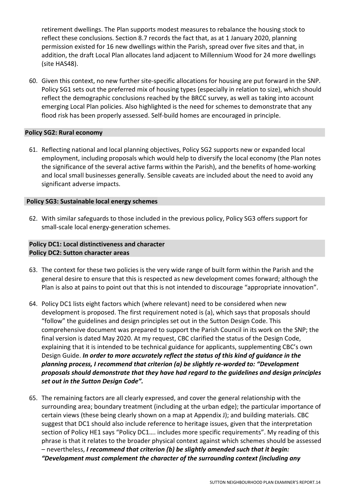retirement dwellings. The Plan supports modest measures to rebalance the housing stock to reflect these conclusions. Section 8.7 records the fact that, as at 1 January 2020, planning permission existed for 16 new dwellings within the Parish, spread over five sites and that, in addition, the draft Local Plan allocates land adjacent to Millennium Wood for 24 more dwellings (site HAS48).

60. Given this context, no new further site-specific allocations for housing are put forward in the SNP. Policy SG1 sets out the preferred mix of housing types (especially in relation to size), which should reflect the demographic conclusions reached by the BRCC survey, as well as taking into account emerging Local Plan policies. Also highlighted is the need for schemes to demonstrate that any flood risk has been properly assessed. Self-build homes are encouraged in principle.

## Policy SG2: Rural economy

61. Reflecting national and local planning objectives, Policy SG2 supports new or expanded local employment, including proposals which would help to diversify the local economy (the Plan notes the significance of the several active farms within the Parish), and the benefits of home-working and local small businesses generally. Sensible caveats are included about the need to avoid any significant adverse impacts.

#### Policy SG3: Sustainable local energy schemes

62. With similar safeguards to those included in the previous policy, Policy SG3 offers support for small-scale local energy-generation schemes.

# Policy DC1: Local distinctiveness and character Policy DC2: Sutton character areas

- 63. The context for these two policies is the very wide range of built form within the Parish and the general desire to ensure that this is respected as new development comes forward; although the Plan is also at pains to point out that this is not intended to discourage "appropriate innovation".
- 64. Policy DC1 lists eight factors which (where relevant) need to be considered when new development is proposed. The first requirement noted is (a), which says that proposals should "follow" the guidelines and design principles set out in the Sutton Design Code. This comprehensive document was prepared to support the Parish Council in its work on the SNP; the final version is dated May 2020. At my request, CBC clarified the status of the Design Code, explaining that it is intended to be technical guidance for applicants, supplementing CBC's own Design Guide. In order to more accurately reflect the status of this kind of guidance in the planning process, I recommend that criterion (a) be slightly re-worded to: "Development proposals should demonstrate that they have had regard to the guidelines and design principles set out in the Sutton Design Code".
- 65. The remaining factors are all clearly expressed, and cover the general relationship with the surrounding area; boundary treatment (including at the urban edge); the particular importance of certain views (these being clearly shown on a map at Appendix J); and building materials. CBC suggest that DC1 should also include reference to heritage issues, given that the interpretation section of Policy HE1 says "Policy DC1…. includes more specific requirements". My reading of this phrase is that it relates to the broader physical context against which schemes should be assessed – nevertheless, I recommend that criterion (b) be slightly amended such that it begin: "Development must complement the character of the surrounding context (including any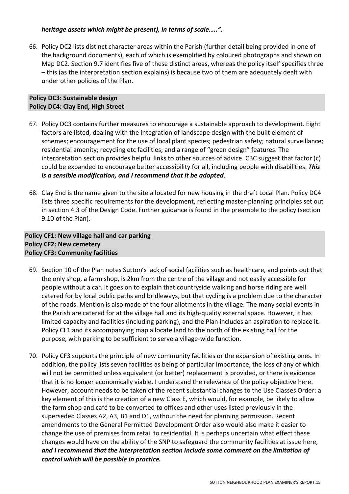## heritage assets which might be present), in terms of scale…..".

66. Policy DC2 lists distinct character areas within the Parish (further detail being provided in one of the background documents), each of which is exemplified by coloured photographs and shown on Map DC2. Section 9.7 identifies five of these distinct areas, whereas the policy itself specifies three – this (as the interpretation section explains) is because two of them are adequately dealt with under other policies of the Plan.

## Policy DC3: Sustainable design Policy DC4: Clay End, High Street

- 67. Policy DC3 contains further measures to encourage a sustainable approach to development. Eight factors are listed, dealing with the integration of landscape design with the built element of schemes; encouragement for the use of local plant species; pedestrian safety; natural surveillance; residential amenity; recycling etc facilities; and a range of "green design" features. The interpretation section provides helpful links to other sources of advice. CBC suggest that factor (c) could be expanded to encourage better accessibility for all, including people with disabilities. This is a sensible modification, and I recommend that it be adopted.
- 68. Clay End is the name given to the site allocated for new housing in the draft Local Plan. Policy DC4 lists three specific requirements for the development, reflecting master-planning principles set out in section 4.3 of the Design Code. Further guidance is found in the preamble to the policy (section 9.10 of the Plan).

# Policy CF1: New village hall and car parking Policy CF2: New cemetery Policy CF3: Community facilities

- 69. Section 10 of the Plan notes Sutton's lack of social facilities such as healthcare, and points out that the only shop, a farm shop, is 2km from the centre of the village and not easily accessible for people without a car. It goes on to explain that countryside walking and horse riding are well catered for by local public paths and bridleways, but that cycling is a problem due to the character of the roads. Mention is also made of the four allotments in the village. The many social events in the Parish are catered for at the village hall and its high-quality external space. However, it has limited capacity and facilities (including parking), and the Plan includes an aspiration to replace it. Policy CF1 and its accompanying map allocate land to the north of the existing hall for the purpose, with parking to be sufficient to serve a village-wide function.
- 70. Policy CF3 supports the principle of new community facilities or the expansion of existing ones. In addition, the policy lists seven facilities as being of particular importance, the loss of any of which will not be permitted unless equivalent (or better) replacement is provided, or there is evidence that it is no longer economically viable. I understand the relevance of the policy objective here. However, account needs to be taken of the recent substantial changes to the Use Classes Order: a key element of this is the creation of a new Class E, which would, for example, be likely to allow the farm shop and café to be converted to offices and other uses listed previously in the superseded Classes A2, A3, B1 and D1, without the need for planning permission. Recent amendments to the General Permitted Development Order also would also make it easier to change the use of premises from retail to residential. It is perhaps uncertain what effect these changes would have on the ability of the SNP to safeguard the community facilities at issue here, and I recommend that the interpretation section include some comment on the limitation of control which will be possible in practice.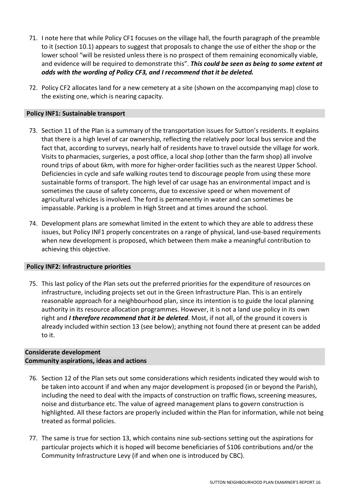- 71. I note here that while Policy CF1 focuses on the village hall, the fourth paragraph of the preamble to it (section 10.1) appears to suggest that proposals to change the use of either the shop or the lower school "will be resisted unless there is no prospect of them remaining economically viable, and evidence will be required to demonstrate this". This could be seen as being to some extent at odds with the wording of Policy CF3, and I recommend that it be deleted.
- 72. Policy CF2 allocates land for a new cemetery at a site (shown on the accompanying map) close to the existing one, which is nearing capacity.

#### Policy INF1: Sustainable transport

- 73. Section 11 of the Plan is a summary of the transportation issues for Sutton's residents. It explains that there is a high level of car ownership, reflecting the relatively poor local bus service and the fact that, according to surveys, nearly half of residents have to travel outside the village for work. Visits to pharmacies, surgeries, a post office, a local shop (other than the farm shop) all involve round trips of about 6km, with more for higher-order facilities such as the nearest Upper School. Deficiencies in cycle and safe walking routes tend to discourage people from using these more sustainable forms of transport. The high level of car usage has an environmental impact and is sometimes the cause of safety concerns, due to excessive speed or when movement of agricultural vehicles is involved. The ford is permanently in water and can sometimes be impassable. Parking is a problem in High Street and at times around the school.
- 74. Development plans are somewhat limited in the extent to which they are able to address these issues, but Policy INF1 properly concentrates on a range of physical, land-use-based requirements when new development is proposed, which between them make a meaningful contribution to achieving this objective.

#### Policy INF2: Infrastructure priorities

75. This last policy of the Plan sets out the preferred priorities for the expenditure of resources on infrastructure, including projects set out in the Green Infrastructure Plan. This is an entirely reasonable approach for a neighbourhood plan, since its intention is to guide the local planning authority in its resource allocation programmes. However, it is not a land use policy in its own right and I therefore recommend that it be deleted. Most, if not all, of the ground it covers is already included within section 13 (see below); anything not found there at present can be added to it.

## Considerate development Community aspirations, ideas and actions

- 76. Section 12 of the Plan sets out some considerations which residents indicated they would wish to be taken into account if and when any major development is proposed (in or beyond the Parish), including the need to deal with the impacts of construction on traffic flows, screening measures, noise and disturbance etc. The value of agreed management plans to govern construction is highlighted. All these factors are properly included within the Plan for information, while not being treated as formal policies.
- 77. The same is true for section 13, which contains nine sub-sections setting out the aspirations for particular projects which it is hoped will become beneficiaries of S106 contributions and/or the Community Infrastructure Levy (if and when one is introduced by CBC).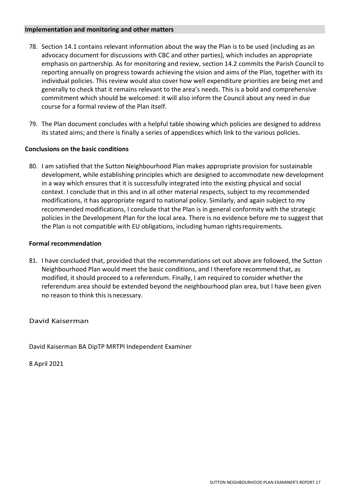#### Implementation and monitoring and other matters

- 78. Section 14.1 contains relevant information about the way the Plan is to be used (including as an advocacy document for discussions with CBC and other parties), which includes an appropriate emphasis on partnership. As for monitoring and review, section 14.2 commits the Parish Council to reporting annually on progress towards achieving the vision and aims of the Plan, together with its individual policies. This review would also cover how well expenditure priorities are being met and generally to check that it remains relevant to the area's needs. This is a bold and comprehensive commitment which should be welcomed: it will also inform the Council about any need in due course for a formal review of the Plan itself.
- 79. The Plan document concludes with a helpful table showing which policies are designed to address its stated aims; and there is finally a series of appendices which link to the various policies.

## Conclusions on the basic conditions

80. I am satisfied that the Sutton Neighbourhood Plan makes appropriate provision for sustainable development, while establishing principles which are designed to accommodate new development in a way which ensures that it is successfully integrated into the existing physical and social context. I conclude that in this and in all other material respects, subject to my recommended modifications, it has appropriate regard to national policy. Similarly, and again subject to my recommended modifications, I conclude that the Plan is in general conformity with the strategic policies in the Development Plan for the local area. There is no evidence before me to suggest that the Plan is not compatible with EU obligations, including human rights requirements.

## Formal recommendation

81. I have concluded that, provided that the recommendations set out above are followed, the Sutton Neighbourhood Plan would meet the basic conditions, and I therefore recommend that, as modified, it should proceed to a referendum. Finally, I am required to consider whether the referendum area should be extended beyond the neighbourhood plan area, but I have been given no reason to think this is necessary.

David Kaiserman

David Kaiserman BA DipTP MRTPI Independent Examiner

8 April 2021